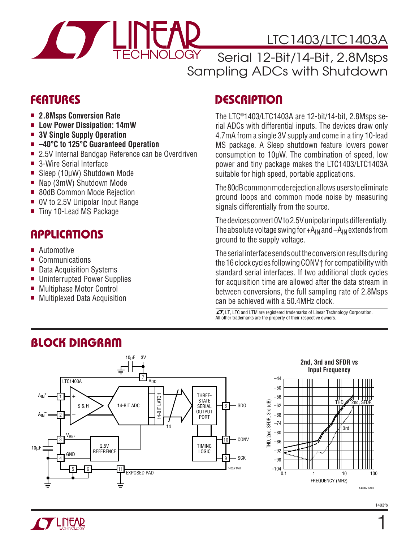

# LTC1403/LTC1403A

Serial 12-Bit/14-Bit, 2.8Msps Sampling ADCs with Shutdown

### **FEATURES**

- **2.8Msps Conversion Rate**
- **Low Power Dissipation: 14mW**
- **3V Single Supply Operation**
- **–40°C to 125°C Guaranteed Operation**
- 2.5V Internal Bandgap Reference can be Overdriven
- 3-Wire Serial Interface
- Sleep (10μW) Shutdown Mode
- Nap (3mW) Shutdown Mode
- 80dB Common Mode Rejection
- 0V to 2.5V Unipolar Input Range
- Tiny 10-Lead MS Package

## **APPLICATIONS**

- Automotive
- Communications
- Data Acquisition Systems
- Uninterrupted Power Supplies
- Multiphase Motor Control
- Multiplexed Data Acquisition

## **DESCRIPTION**

The LTC®1403/LTC1403A are 12-bit/14-bit, 2.8Msps serial ADCs with differential inputs. The devices draw only 4.7mA from a single 3V supply and come in a tiny 10-lead MS package. A Sleep shutdown feature lowers power consumption to 10μW. The combination of speed, low power and tiny package makes the LTC1403/LTC1403A suitable for high speed, portable applications.

The 80dB common mode rejection allows users to eliminate ground loops and common mode noise by measuring signals differentially from the source.

The devices convert 0V to 2.5V unipolar inputs differentially. The absolute voltage swing for  $+A_{IN}$  and  $-A_{IN}$  extends from ground to the supply voltage.

The serial interface sends out the conversion results during the 16 clock cycles following CONV↑ for compatibility with standard serial interfaces. If two additional clock cycles for acquisition time are allowed after the data stream in between conversions, the full sampling rate of 2.8Msps can be achieved with a 50.4MHz clock.

 $\overline{\mathcal{L}\mathcal{F}}$ , LT, LTC and LTM are registered trademarks of Linear Technology Corporation. All other trademarks are the property of their respective owners.



# **BLOCK DIAGRAM**



1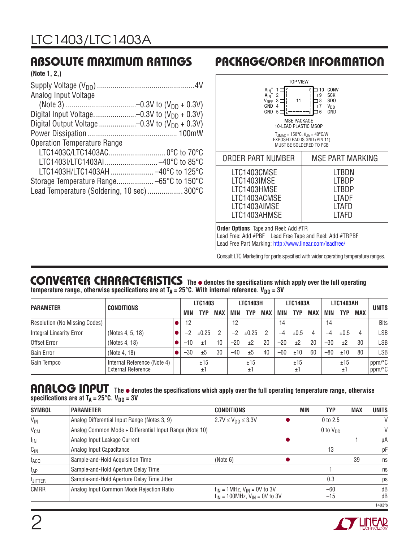| (Note 1, 2.)                                      |  |
|---------------------------------------------------|--|
|                                                   |  |
| Analog Input Voltage                              |  |
|                                                   |  |
| Digital Input Voltage-0.3V to $(V_{DD} + 0.3V)$   |  |
| Digital Output Voltage -0.3V to $(V_{DD} + 0.3V)$ |  |
|                                                   |  |
| <b>Operation Temperature Range</b>                |  |
|                                                   |  |
| LTC1403I/LTC1403AI -40°C to 85°C                  |  |
| LTC1403H/LTC1403AH  -40°C to 125°C                |  |
|                                                   |  |
| Lead Temperature (Soldering, 10 sec)  300°C       |  |
|                                                   |  |

# **ABSOLUTE MAXIMUM RATINGS PACKAGE/ORDER INFORMATION**



#### **CONVERTER CHARACTERISTICS The** ● **denotes the specifi cations which apply over the full operating**  temperature range, otherwise specifications are at T<sub>A</sub> = 25°C. With internal reference. V<sub>DD</sub> = 3V

|                                      |                                                          |  |       | <b>LTC1403</b> |            | <b>LTC1403H</b> |           | <b>LTC1403A</b> |       |           | <b>LTC1403AH</b> |       |           |     |                  |
|--------------------------------------|----------------------------------------------------------|--|-------|----------------|------------|-----------------|-----------|-----------------|-------|-----------|------------------|-------|-----------|-----|------------------|
| <b>PARAMETER</b>                     | <b>CONDITIONS</b>                                        |  | MIN   | TYP            | <b>MAX</b> | MIN             | TYP       | <b>MAX</b>      | MIN   | TYP       | <b>MAX</b>       | MIN   | TYP       | MAX | <b>UNITS</b>     |
| <b>Resolution (No Missing Codes)</b> |                                                          |  | 12    |                |            | 12              |           |                 | 14    |           |                  | 14    |           |     | <b>Bits</b>      |
| <b>Integral Linearity Error</b>      | (Notes 4, 5, 18)                                         |  |       | ±0.25          | 2          | $-2$            | ±0.25     | 2               | $-4$  | ±0.5      |                  | -4    | ±0.5      |     | LSB              |
| Offset Error                         | (Notes 4, 18)                                            |  | $-10$ | ±1             |            | $-20$           | ±2        | 20              | $-20$ | ±2        | 20               | $-30$ | ±2        | 30  | LSB              |
| Gain Error                           | (Note 4, 18)                                             |  | $-30$ | ±5             | 30         | $-40$           | ±5        | 40              | -60   | ±10       | 60               | $-80$ | ±10       | 80  | LSB              |
| Gain Tempco                          | Internal Reference (Note 4)<br><b>External Reference</b> |  |       | ±15<br>±1      |            |                 | ±15<br>±1 |                 |       | ±15<br>±1 |                  |       | ±15<br>±1 |     | ppm/°C<br>ppm/°C |

### **ANALOG INPUT** The  $\bullet$  denotes the specifications which apply over the full operating temperature range, otherwise specifications are at  $T_A = 25^\circ \text{C}$ .  $V_{DD} = 3V$

| <b>SYMBOL</b>         | <b>PARAMETER</b>                                        | <b>CONDITIONS</b>                                                              | MIN<br><b>TYP</b> | <b>MAX</b> | <b>UNITS</b> |
|-----------------------|---------------------------------------------------------|--------------------------------------------------------------------------------|-------------------|------------|--------------|
| $V_{IN}$              | Analog Differential Input Range (Notes 3, 9)            | $2.7V \le V_{DD} \le 3.3V$                                                     | $0$ to $2.5$      |            | V            |
| <b>V<sub>CM</sub></b> | Analog Common Mode + Differential Input Range (Note 10) |                                                                                | 0 to $V_{DD}$     |            | V            |
| $I_{\text{IN}}$       | Analog Input Leakage Current                            |                                                                                |                   |            | μA           |
| $C_{IN}$              | Analog Input Capacitance                                |                                                                                | 13                |            | рF           |
| t <sub>ACQ</sub>      | Sample-and-Hold Acquisition Time                        | (Note 6)                                                                       |                   | 39         | ns           |
| t <sub>AP</sub>       | Sample-and-Hold Aperture Delay Time                     |                                                                                |                   |            | ns           |
| <sup>t</sup> JITTER   | Sample-and-Hold Aperture Delay Time Jitter              |                                                                                | 0.3               |            | ps           |
| CMRR                  | Analog Input Common Mode Rejection Ratio                | $f_{IN}$ = 1MHz, $V_{IN}$ = 0V to 3V<br>$f_{IN}$ = 100MHz, $V_{IN}$ = 0V to 3V | $-60$<br>$-15$    |            | dB<br>dB     |
|                       |                                                         |                                                                                |                   |            | 1403fb       |

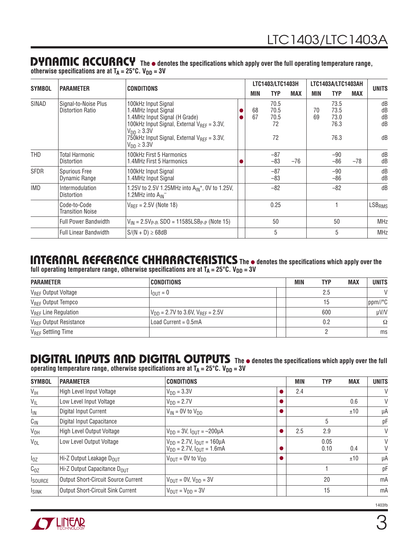#### **The** ● **denotes the specifi cations which apply over the full operating temperature range, DYNAMIC ACCURACY**

|               |                                                 |                                                                                                                                                                                                                                                |  |            | LTC1403/LTC1403H                 |            | LTC1403A/LTC1403AH |                                      |            |                            |
|---------------|-------------------------------------------------|------------------------------------------------------------------------------------------------------------------------------------------------------------------------------------------------------------------------------------------------|--|------------|----------------------------------|------------|--------------------|--------------------------------------|------------|----------------------------|
| <b>SYMBOL</b> | <b>PARAMETER</b>                                | <b>CONDITIONS</b>                                                                                                                                                                                                                              |  | <b>MIN</b> | TYP                              | <b>MAX</b> | MIN                | <b>TYP</b>                           | <b>MAX</b> | <b>UNITS</b>               |
| SINAD         | Signal-to-Noise Plus<br><b>Distortion Ratio</b> | 100kHz Input Signal<br>1.4MHz Input Signal<br>1.4MHz Input Signal (H Grade)<br>100kHz Input Signal, External $V_{\text{RFF}} = 3.3V$ ,<br>$V_{DD} \geq 3.3V$<br>750kHz Input Signal, External $V_{\text{RFF}} = 3.3 V$ ,<br>$V_{DD} \geq 3.3V$ |  | 68<br>67   | 70.5<br>70.5<br>70.5<br>72<br>72 |            | 70<br>69           | 73.5<br>73.5<br>73.0<br>76.3<br>76.3 |            | dB<br>dB<br>dB<br>dB<br>dB |
| THD           | <b>Total Harmonic</b><br><b>Distortion</b>      | 100kHz First 5 Harmonics<br>1.4MHz First 5 Harmonics                                                                                                                                                                                           |  |            | $-87$<br>$-83$                   | $-76$      |                    | $-90$<br>$-86$                       | $-78$      | dB<br>dB                   |
| <b>SFDR</b>   | <b>Spurious Free</b><br>Dynamic Range           | 100kHz Input Signal<br>1.4MHz Input Signal                                                                                                                                                                                                     |  |            | $-87$<br>$-83$                   |            |                    | $-90$<br>$-86$                       |            | dB<br>dB                   |
| <b>IMD</b>    | Intermodulation<br><b>Distortion</b>            | 1.25V to 2.5V 1.25MHz into $A_{IN}$ <sup>+</sup> , 0V to 1.25V,<br>1.2MHz into A <sub>IN</sub> -                                                                                                                                               |  |            | $-82$                            |            |                    | $-82$                                |            | dB                         |
|               | Code-to-Code<br><b>Transition Noise</b>         | $V_{RFF} = 2.5V$ (Note 18)                                                                                                                                                                                                                     |  |            | 0.25                             |            |                    |                                      |            | LSB <sub>RMS</sub>         |
|               | <b>Full Power Bandwidth</b>                     | $V_{1N} = 2.5V_{P-P}$ , SDO = 11585LSB <sub>P-P</sub> (Note 15)                                                                                                                                                                                |  |            | 50                               |            |                    | 50                                   |            | <b>MHz</b>                 |
|               | <b>Full Linear Bandwidth</b>                    | $S/(N + D) \ge 68dB$                                                                                                                                                                                                                           |  |            | 5                                |            |                    | 5                                    |            | <b>MHz</b>                 |

otherwise specifications are at T<sub>A</sub> = 25°C. V<sub>DD</sub> = 3V

#### **ITTI CISTIFIC IS CHEFTS CITED INTO THE SET OF SPECIFIZITY OF SPECIFICATIONS** which apply over the full operating temperature range, otherwise specifications are at T<sub>A</sub> = 25°C. V<sub>DD</sub> = 3V **INTERNAL REFERENCE CHHARACTERISTICS**

| <b>PARAMETER</b>                         | <b>CONDITIONS</b>                         | MIN | TYP | <b>MAX</b> | <b>UNITS</b> |
|------------------------------------------|-------------------------------------------|-----|-----|------------|--------------|
| V <sub>REF</sub> Output Voltage          | $I_{\text{OUT}} = 0$                      |     | 2.5 |            | V            |
| V <sub>REF</sub> Output Tempco           |                                           |     | 15  |            | ppm//°C      |
| V <sub>REF</sub> Line Regulation         | $V_{DD}$ = 2.7V to 3.6V, $V_{BFF}$ = 2.5V |     | 600 |            | uV/V         |
| <b>V<sub>REF</sub></b> Output Resistance | Load Current = $0.5mA$                    |     | 0.2 |            | Ω            |
| V <sub>REF</sub> Settling Time           |                                           |     |     |            | ms           |

#### **The**  $\bullet$  **denotes the specifications which apply over the full in the specifications which apply over the full DIGITAL INPUTS AND DIGITAL OUTPUTS**

operating temperature range, otherwise specifications are at T<sub>A</sub> = 25°C. V<sub>DD</sub> = 3V

| <b>SYMBOL</b>   | <b>PARAMETER</b>                           | <b>CONDITIONS</b>                                                              | <b>MIN</b> | <b>TYP</b>   | <b>MAX</b> | <b>UNITS</b> |
|-----------------|--------------------------------------------|--------------------------------------------------------------------------------|------------|--------------|------------|--------------|
| V <sub>IH</sub> | High Level Input Voltage                   | $V_{DD} = 3.3V$                                                                | 2.4        |              |            | V            |
| $V_{IL}$        | Low Level Input Voltage                    | $VDD = 2.7V$                                                                   |            |              | 0.6        | V            |
| $I_{IN}$        | Digital Input Current                      | $V_{IN}$ = 0V to $V_{DD}$                                                      |            |              | ±10        | μA           |
| $C_{IN}$        | Digital Input Capacitance                  |                                                                                |            | 5            |            | рF           |
| V <sub>OH</sub> | High Level Output Voltage                  | $V_{DD} = 3V$ , $I_{OUT} = -200 \mu A$                                         | 2.5        | 2.9          |            | V            |
| $V_{OL}$        | Low Level Output Voltage                   | $V_{DD} = 2.7V$ , $I_{OUT} = 160 \mu A$<br>$V_{DD} = 2.7V$ , $I_{OUT} = 1.6mA$ |            | 0.05<br>0.10 | 0.4        | V<br>V       |
| $I_{0Z}$        | Hi-Z Output Leakage $D_{OIII}$             | $V_{\text{OUT}} = 0V$ to $V_{\text{DD}}$                                       |            |              | ±10        | μA           |
| $C_{OZ}$        | Hi-Z Output Capacitance $D_{OUT}$          |                                                                                |            |              |            | рF           |
| <b>I</b> SOURCE | <b>Output Short-Circuit Source Current</b> | $V_{\text{OUT}} = 0V, V_{\text{DD}} = 3V$                                      |            | 20           |            | mA           |
| <b>ISINK</b>    | <b>Output Short-Circuit Sink Current</b>   | $V_{\text{OUT}} = V_{\text{DD}} = 3V$                                          |            | 15           |            | mA           |

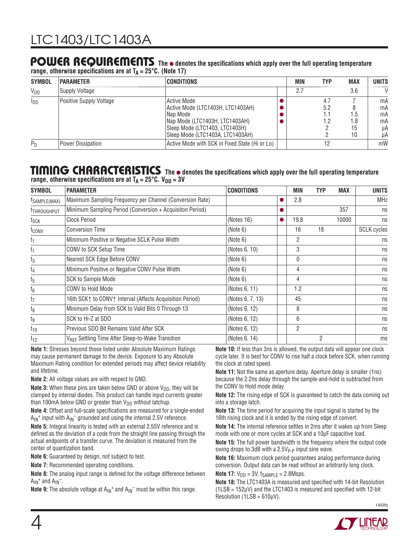#### POWER REQUIREMENTS The  $\bullet$  denotes the specifications which apply over the full operating temperature range, otherwise specifications are at  $T_A = 25^{\circ}$ C. (Note 17)

| $1$ wild at a contract the contract with $\alpha$ and $\alpha$ in $\alpha$ and $\alpha$ is a contract of $\alpha$ |                                |                                                                                                                                                                               |  |     |                          |                        |                                  |
|-------------------------------------------------------------------------------------------------------------------|--------------------------------|-------------------------------------------------------------------------------------------------------------------------------------------------------------------------------|--|-----|--------------------------|------------------------|----------------------------------|
| <b>SYMBOL</b>                                                                                                     | <b>PARAMETER</b>               | <b>CONDITIONS</b>                                                                                                                                                             |  | MIN | <b>TYP</b>               | <b>MAX</b>             | <b>UNITS</b>                     |
| <b>V<sub>DD</sub></b>                                                                                             | <b>Supply Voltage</b>          |                                                                                                                                                                               |  | 2.7 |                          | 3.6                    | $\mathsf{V}$                     |
| $I_{DD}$                                                                                                          | <b>Positive Supply Voltage</b> | <b>Active Mode</b><br>Active Mode (LTC1403H, LTC1403AH)<br> Nap Mode <br>Nap Mode (LTC1403H, LTC1403AH)<br>Sleep Mode (LTC1403, LTC1403H)<br>Sleep Mode (LTC1403A, LTC1403AH) |  |     | 4.7<br>5.2<br>1.1<br>1.2 | 1.5<br>1.8<br>15<br>10 | mA<br>mA<br>mA<br>mA<br>μA<br>μA |
| $P_D$                                                                                                             | <b>Power Dissipation</b>       | Active Mode with SCK in Fixed State (Hi or Lo)                                                                                                                                |  |     | 12                       |                        | mW                               |

#### TIMING CHARACTERISTICS The  $\bullet$  denotes the specifications which apply over the full operating temperature range, otherwise specifications are at  $T_A = 25^{\circ}C$ .  $V_{DD} = 3V$

| <b>SYMBOL</b>     | <b>PARAMETER</b>                                              | <b>CONDITIONS</b> |           | <b>MIN</b> | TYP            | <b>MAX</b> | <b>UNITS</b>       |
|-------------------|---------------------------------------------------------------|-------------------|-----------|------------|----------------|------------|--------------------|
| TSAMPLE(MAX)      | Maximum Sampling Frequency per Channel (Conversion Rate)      |                   |           | 2.8        |                |            | <b>MHz</b>         |
| <b>THROUGHPUT</b> | Minimum Sampling Period (Conversion + Acquisiton Period)      |                   |           |            |                | 357        | ns                 |
| t <sub>SCK</sub>  | <b>Clock Period</b>                                           | (Notes 16)        | $\bullet$ | 19.8       |                | 10000      | ns                 |
| t <sub>conv</sub> | <b>Conversion Time</b>                                        | (Note 6)          |           | 16         | 18             |            | <b>SCLK</b> cycles |
| t <sub>1</sub>    | Minimum Positive or Negative SCLK Pulse Width                 | (Note 6)          |           | 2          |                |            | ns                 |
| t <sub>1</sub>    | CONV to SCK Setup Time                                        | (Notes 6, 10)     |           | 3          |                |            | ns                 |
| $t_3$             | Nearest SCK Edge Before CONV                                  | (Note 6)          |           | 0          |                |            | ns                 |
| $t_4$             | Minimum Positive or Negative CONV Pulse Width                 | (Note 6)          |           | 4          |                |            | ns                 |
| $t_{5}$           | SCK to Sample Mode                                            | (Note 6)          |           | 4          |                |            | ns                 |
| $t_6$             | CONV to Hold Mode                                             | (Notes 6, 11)     |           | 1.2        |                |            | ns                 |
| $t_7$             | 16th SCK↑ to CONV↑ Interval (Affects Acquisition Period)      | (Notes 6, 7, 13)  |           | 45         |                |            | ns                 |
| $t_8$             | Minimum Delay from SCK to Valid Bits 0 Through 13             | (Notes 6, 12)     |           | 8          |                |            | ns                 |
| tg                | SCK to Hi-Z at SDO                                            | (Notes 6, 12)     |           | 6          |                |            | ns                 |
| $t_{10}$          | Previous SDO Bit Remains Valid After SCK                      | (Notes 6, 12)     |           | 2          |                |            | ns                 |
| $t_{12}$          | V <sub>REF</sub> Settling Time After Sleep-to-Wake Transition | (Notes 6, 14)     |           |            | $\overline{2}$ |            | ms                 |

**Note 1:** Stresses beyond those listed under Absolute Maximum Ratings may cause permanent damage to the device. Exposure to any Absolute Maximum Rating condition for extended periods may affect device reliability and lifetime.

**Note 2:** All voltage values are with respect to GND.

**Note 3:** When these pins are taken below GND or above  $V_{DD}$ , they will be clamped by internal diodes. This product can handle input currents greater than 100mA below GND or greater than  $V_{DD}$  without latchup.

Note 4: Offset and full-scale specifications are measured for a single-ended  $A_{\text{IN}}^+$  input with  $A_{\text{IN}}^-$  grounded and using the internal 2.5V reference.

**Note 5:** Integral linearity is tested with an external 2.55V reference and is defined as the deviation of a code from the straight line passing through the actual endpoints of a transfer curve. The deviation is measured from the center of quantization band.

**Note 6:** Guaranteed by design, not subject to test.

**Note 7:** Recommended operating conditions.

**Note 8:** The analog input range is defined for the voltage difference between  $A_{IN}$ <sup>+</sup> and  $A_{IN}^-$ .

**Note 9:** The absolute voltage at  $A_{IN}^+$  and  $A_{IN}^-$  must be within this range.

**Note 10:** If less than 3ns is allowed, the output data will appear one clock cycle later. It is best for CONV to rise half a clock before SCK, when running the clock at rated speed.

**Note 11:** Not the same as aperture delay. Aperture delay is smaller (1ns) because the 2.2ns delay through the sample-and-hold is subtracted from the CONV to Hold mode delay.

**Note 12:** The rising edge of SCK is guaranteed to catch the data coming out into a storage latch.

**Note 13:** The time period for acquiring the input signal is started by the 16th rising clock and it is ended by the rising edge of convert.

**Note 14:** The internal reference settles in 2ms after it wakes up from Sleep mode with one or more cycles at SCK and a 10μF capacitive load.

**Note 15:** The full power bandwidth is the frequency where the output code swing drops to 3dB with a  $2.5V_{P-P}$  input sine wave.

**Note 16:** Maximum clock period guarantees analog performance during conversion. Output data can be read without an arbitrarily long clock.

**Note 17:**  $V_{DD} = 3V$ ,  $f_{SAMPLE} = 2.8Msps$ .

**Note 18:** The LTC1403A is measured and specified with 14-bit Resolution  $(1LSB = 152\mu V)$  and the LTC1403 is measured and specified with 12-bit Resolution (1LSB =  $610\mu$ V).

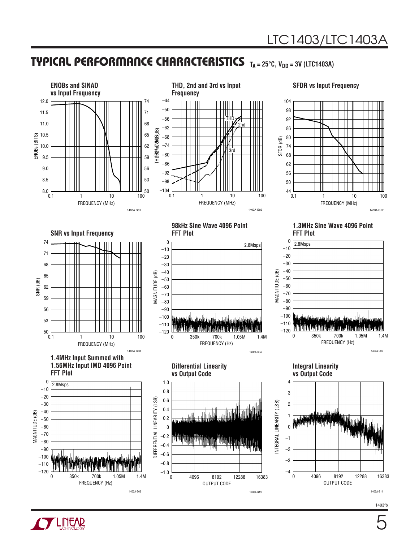## **TYPICAL PERFORMANCE CHARACTERISTICS** T<sub>A</sub> = 25°C, V<sub>DD</sub> = 3V (LTC1403A)



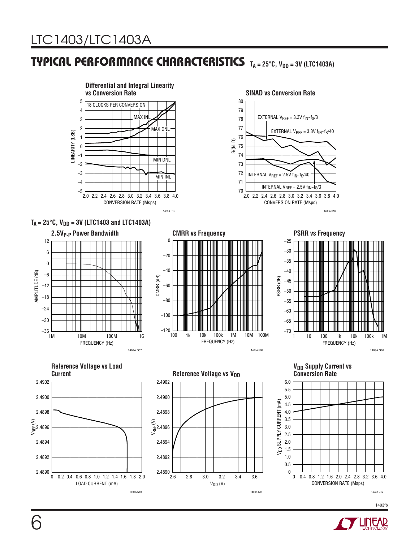## **TYPICAL PERFORMANCE CHARACTERISTICS TA = 25°C, V<sub>DD</sub> = 3V (LTC1403A)**



1403A G11

1403A G12

1403fb



1403A G10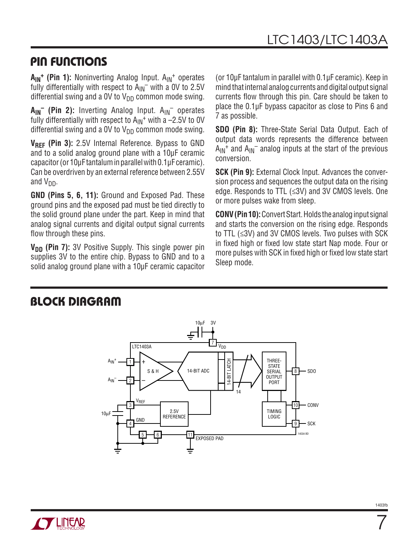# **PIN FUNCTIONS**

A<sub>IN</sub><sup>+</sup> (Pin 1): Noninverting Analog Input. A<sub>IN</sub><sup>+</sup> operates fully differentially with respect to  $A_{IN}^-$  with a 0V to 2.5V differential swing and a 0V to  $V_{DD}$  common mode swing.

A<sub>IN</sub><sup>-</sup> (Pin 2): Inverting Analog Input. A<sub>IN</sub><sup>-</sup> operates fully differentially with respect to  $A_{IN}$ <sup>+</sup> with a -2.5V to 0V differential swing and a OV to  $V_{DD}$  common mode swing.

**VREF (Pin 3):** 2.5V Internal Reference. Bypass to GND and to a solid analog ground plane with a 10μF ceramic capacitor (or 10μF tantalum in parallel with 0.1μF ceramic). Can be overdriven by an external reference between 2.55V and V<sub>DD</sub>.

**GND (Pins 5, 6, 11):** Ground and Exposed Pad. These ground pins and the exposed pad must be tied directly to the solid ground plane under the part. Keep in mind that analog signal currents and digital output signal currents flow through these pins.

V<sub>DD</sub> (Pin 7): 3V Positive Supply. This single power pin supplies 3V to the entire chip. Bypass to GND and to a solid analog ground plane with a 10μF ceramic capacitor (or 10μF tantalum in parallel with 0.1μF ceramic). Keep in mind that internal analog currents and digital output signal currents flow through this pin. Care should be taken to place the 0.1μF bypass capacitor as close to Pins 6 and 7 as possible.

**SDO (Pin 8):** Three-State Serial Data Output. Each of output data words represents the difference between  $A_{IN}$ <sup>+</sup> and  $A_{IN}$ <sup>-</sup> analog inputs at the start of the previous conversion.

**SCK (Pin 9):** External Clock Input. Advances the conversion process and sequences the output data on the rising edge. Responds to TTL (≤3V) and 3V CMOS levels. One or more pulses wake from sleep.

**CONV (Pin 10):** Convert Start. Holds the analog input signal and starts the conversion on the rising edge. Responds to TTL (≤3V) and 3V CMOS levels. Two pulses with SCK in fixed high or fixed low state start Nap mode. Four or more pulses with SCK in fixed high or fixed low state start Sleep mode.

### **BLOCK DIAGRAM**



7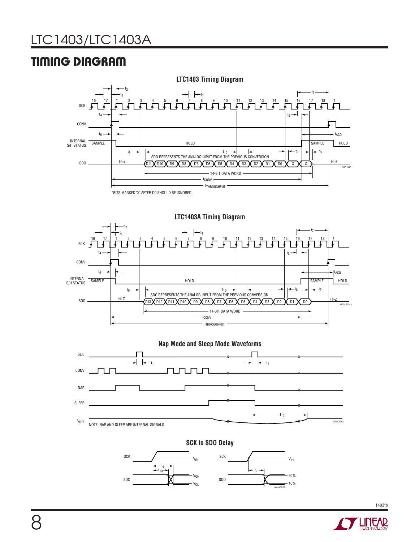# **TIMING DIAGRAM**











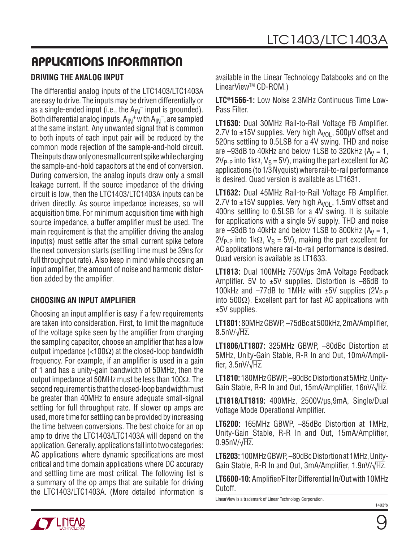### **DRIVING THE ANALOG INPUT**

The differential analog inputs of the LTC1403/LTC1403A are easy to drive. The inputs may be driven differentially or as a single-ended input (i.e., the  $A_{IN}^-$  input is grounded). Both differential analog inputs,  $A_{IN}^+$  with  $A_{IN}^-$ , are sampled at the same instant. Any unwanted signal that is common to both inputs of each input pair will be reduced by the common mode rejection of the sample-and-hold circuit. The inputs draw only one small current spike while charging the sample-and-hold capacitors at the end of conversion. During conversion, the analog inputs draw only a small leakage current. If the source impedance of the driving circuit is low, then the LTC1403/LTC1403A inputs can be driven directly. As source impedance increases, so will acquisition time. For minimum acquisition time with high source impedance, a buffer amplifier must be used. The main requirement is that the amplifier driving the analog input(s) must settle after the small current spike before the next conversion starts (settling time must be 39ns for full throughput rate). Also keep in mind while choosing an input amplifier, the amount of noise and harmonic distortion added by the amplifier.

### **CHOOSING AN INPUT AMPLIFIER**

Choosing an input amplifier is easy if a few requirements are taken into consideration. First, to limit the magnitude of the voltage spike seen by the amplifier from charging the sampling capacitor, choose an amplifier that has a low output impedance (<100Ω) at the closed-loop bandwidth frequency. For example, if an amplifier is used in a gain of 1 and has a unity-gain bandwidth of 50MHz, then the output impedance at 50MHz must be less than 100 $\Omega$ . The second requirement is that the closed-loop bandwidth must be greater than 40MHz to ensure adequate small-signal settling for full throughput rate. If slower op amps are used, more time for settling can be provided by increasing the time between conversions. The best choice for an op amp to drive the LTC1403/LTC1403A will depend on the application. Generally, applications fall into two categories: AC applications where dynamic specifications are most critical and time domain applications where DC accuracy and settling time are most critical. The following list is a summary of the op amps that are suitable for driving the LTC1403/LTC1403A. (More detailed information is

available in the Linear Technology Databooks and on the LinearView™ CD-ROM.)

**LTC®1566-1:** Low Noise 2.3MHz Continuous Time Low-Pass Filter.

**LT1630:** Dual 30MHz Rail-to-Rail Voltage FB Amplifier. 2.7V to  $\pm$ 15V supplies. Very high A<sub>VOL</sub>, 500 $\mu$ V offset and 520ns settling to 0.5LSB for a 4V swing. THD and noise are  $-93$ dB to 40kHz and below 1LSB to 320kHz ( $A_V = 1$ ,  $2V_{P-P}$  into 1kΩ,  $V_S = 5V$ ), making the part excellent for AC applications (to 1/3 Nyquist) where rail-to-rail performance is desired. Quad version is available as LT1631.

LT1632: Dual 45MHz Rail-to-Rail Voltage FB Amplifier. 2.7V to  $\pm$ 15V supplies. Very high A<sub>VOL</sub>, 1.5mV offset and 400ns settling to 0.5LSB for a 4V swing. It is suitable for applications with a single 5V supply. THD and noise are  $-93$ dB to 40kHz and below 1LSB to 800kHz ( $A_V = 1$ ,  $2V_{P-P}$  into 1kΩ,  $V_S = 5V$ ), making the part excellent for AC applications where rail-to-rail performance is desired. Quad version is available as LT1633.

**LT1813:** Dual 100MHz 750V/μs 3mA Voltage Feedback Amplifier. 5V to  $\pm 5V$  supplies. Distortion is  $-86dB$  to 100kHz and  $-77$ dB to 1MHz with  $\pm 5V$  supplies (2V<sub>P-P</sub>) into 500Ω). Excellent part for fast AC applications with ±5V supplies.

**LT1801:** 80MHz GBWP, -75dBc at 500kHz, 2mA/Amplifier,  $8.5$ nV/ $\sqrt{Hz}$ .

**LT1806/LT1807:** 325MHz GBWP, –80dBc Distortion at 5MHz, Unity-Gain Stable, R-R In and Out, 10mA/Ampli- $\frac{1}{2}$  fier, 3.5nV/ $\sqrt{Hz}$ .

**LT1810:** 180MHz GBWP, –90dBc Distortion at 5MHz, Unity-<u>Historicomme dettite conservationment chine, omytical</u>

**LT1818/LT1819:** 400MHz, 2500V/μs,9mA, Single/Dual Voltage Mode Operational Amplifier.

**LT6200:** 165MHz GBWP, –85dBc Distortion at 1MHz, Unity-Gain Stable, R-R In and Out, 15mA/Amplifier,  $0.95nV/\sqrt{Hz}$ 

**LT6203:** 100MHz GBWP, –80dBc Distortion at 1MHz, Unity-<u>Gain Stable, R-R In and Out, 3mA/Amplifier, 1.9nV/√Hz.</u>

**LT6600-10:** Amplifier/Filter Differential In/Out with 10MHz Cutoff.

LinearView is a trademark of Linear Technology Corporation.

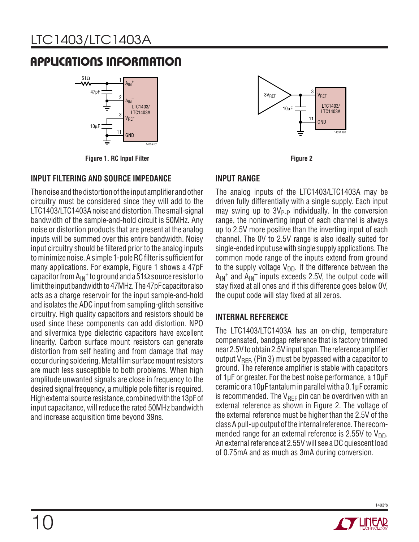

**Figure 1. RC Input Filter**

### **INPUT FILTERING AND SOURCE IMPEDANCE**

The noise and the distortion of the input amplifier and other circuitry must be considered since they will add to the LTC1403/LTC1403A noise and distortion. The small-signal bandwidth of the sample-and-hold circuit is 50MHz. Any noise or distortion products that are present at the analog inputs will be summed over this entire bandwidth. Noisy input circuitry should be filtered prior to the analog inputs to minimize noise. A simple 1-pole RC filter is sufficient for many applications. For example, Figure 1 shows a 47pF capacitor from  $A_{IN}$ <sup>+</sup> to ground and a 51 $\Omega$  source resistor to limit the input bandwidth to 47MHz. The 47pF capacitor also acts as a charge reservoir for the input sample-and-hold and isolates the ADC input from sampling-glitch sensitive circuitry. High quality capacitors and resistors should be used since these components can add distortion. NPO and silvermica type dielectric capacitors have excellent linearity. Carbon surface mount resistors can generate distortion from self heating and from damage that may occur during soldering. Metal film surface mount resistors are much less susceptible to both problems. When high amplitude unwanted signals are close in frequency to the desired signal frequency, a multiple pole filter is required. High external source resistance, combined with the 13pF of input capacitance, will reduce the rated 50MHz bandwidth and increase acquisition time beyond 39ns.



**Figure 2**

### **INPUT RANGE**

The analog inputs of the LTC1403/LTC1403A may be driven fully differentially with a single supply. Each input may swing up to  $3V_{P-P}$  individually. In the conversion range, the noninverting input of each channel is always up to 2.5V more positive than the inverting input of each channel. The 0V to 2.5V range is also ideally suited for single-ended input use with single supply applications. The common mode range of the inputs extend from ground to the supply voltage  $V_{DD}$ . If the difference between the  $A_{IN}$ <sup>+</sup> and  $A_{IN}$ <sup>-</sup> inputs exceeds 2.5V, the output code will stay fixed at all ones and if this difference goes below OV, the ouput code will stay fixed at all zeros.

### **INTERNAL REFERENCE**

The LTC1403/LTC1403A has an on-chip, temperature compensated, bandgap reference that is factory trimmed near 2.5V to obtain 2.5V input span. The reference amplifier output  $V_{\text{RFE}}$ , (Pin 3) must be bypassed with a capacitor to ground. The reference amplifier is stable with capacitors of 1μF or greater. For the best noise performance, a 10μF ceramic or a 10μF tantalum in parallel with a 0.1μF ceramic is recommended. The  $V_{\text{RFE}}$  pin can be overdriven with an external reference as shown in Figure 2. The voltage of the external reference must be higher than the 2.5V of the class A pull-up output of the internal reference. The recommended range for an external reference is 2.55V to  $V_{DD}$ . An external reference at 2.55V will see a DC quiescent load of 0.75mA and as much as 3mA during conversion.

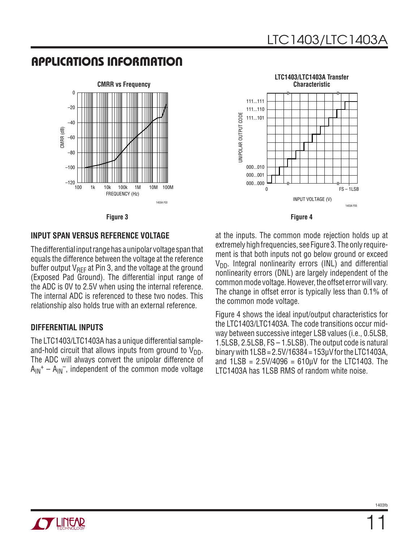

**LTC1403/LTC1403A Transfer Characteristic**111...111 111...110 JNIPOLAR OUTPUT CODE UNIPOLAR OUTPUT CODE 111...101 000...010 000...001 000...000 0 FS – 1LSB INPUT VOLTAGE (V) 1403A F05



#### **INPUT SPAN VERSUS REFERENCE VOLTAGE**

The differential input range has a unipolar voltage span that equals the difference between the voltage at the reference buffer output  $V_{\text{RFE}}$  at Pin 3, and the voltage at the ground (Exposed Pad Ground). The differential input range of the ADC is 0V to 2.5V when using the internal reference. The internal ADC is referenced to these two nodes. This relationship also holds true with an external reference.

#### **DIFFERENTIAL INPUTS**

The LTC1403/LTC1403A has a unique differential sampleand-hold circuit that allows inputs from ground to  $V_{DD}$ . The ADC will always convert the unipolar difference of  $A_{IN}^+ - A_{IN}^-$ , independent of the common mode voltage

at the inputs. The common mode rejection holds up at extremely high frequencies, see Figure 3. The only requirement is that both inputs not go below ground or exceed  $V<sub>DD</sub>$ . Integral nonlinearity errors (INL) and differential nonlinearity errors (DNL) are largely independent of the common mode voltage. However, the offset error will vary. The change in offset error is typically less than 0.1% of the common mode voltage.

Figure 4 shows the ideal input/output characteristics for the LTC1403/LTC1403A. The code transitions occur midway between successive integer LSB values (i.e., 0.5LSB, 1.5LSB, 2.5LSB, FS – 1.5LSB). The output code is natural binary with 1LSB = 2.5V/16384 = 153μV for the LTC1403A, and  $1LSB = 2.5V/4096 = 610 \mu V$  for the LTC1403. The LTC1403A has 1LSB RMS of random white noise.



11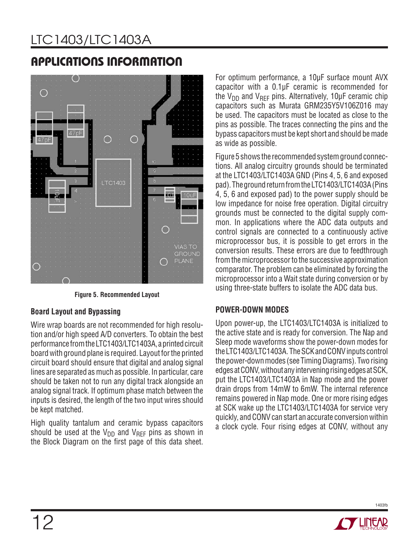

**Figure 5. Recommended Layout**

### **Board Layout and Bypassing**

Wire wrap boards are not recommended for high resolution and/or high speed A/D converters. To obtain the best performance from the LTC1403/LTC1403A, a printed circuit board with ground plane is required. Layout for the printed circuit board should ensure that digital and analog signal lines are separated as much as possible. In particular, care should be taken not to run any digital track alongside an analog signal track. If optimum phase match between the inputs is desired, the length of the two input wires should be kept matched.

High quality tantalum and ceramic bypass capacitors should be used at the  $V_{DD}$  and  $V_{RFF}$  pins as shown in the Block Diagram on the first page of this data sheet.

For optimum performance, a 10μF surface mount AVX capacitor with a 0.1μF ceramic is recommended for the V<sub>DD</sub> and V<sub>RFF</sub> pins. Alternatively, 10μF ceramic chip capacitors such as Murata GRM235Y5V106Z016 may be used. The capacitors must be located as close to the pins as possible. The traces connecting the pins and the bypass capacitors must be kept short and should be made as wide as possible.

Figure 5 shows the recommended system ground connections. All analog circuitry grounds should be terminated at the LTC1403/LTC1403A GND (Pins 4, 5, 6 and exposed pad). The ground return from the LTC1403/LTC1403A (Pins 4, 5, 6 and exposed pad) to the power supply should be low impedance for noise free operation. Digital circuitry grounds must be connected to the digital supply common. In applications where the ADC data outputs and control signals are connected to a continuously active microprocessor bus, it is possible to get errors in the conversion results. These errors are due to feedthrough from the microprocessor to the successive approximation comparator. The problem can be eliminated by forcing the microprocessor into a Wait state during conversion or by using three-state buffers to isolate the ADC data bus.

### **POWER-DOWN MODES**

Upon power-up, the LTC1403/LTC1403A is initialized to the active state and is ready for conversion. The Nap and Sleep mode waveforms show the power-down modes for the LTC1403/LTC1403A. The SCK and CONV inputs control the power-down modes (see Timing Diagrams). Two rising edges at CONV, without any intervening rising edges at SCK, put the LTC1403/LTC1403A in Nap mode and the power drain drops from 14mW to 6mW. The internal reference remains powered in Nap mode. One or more rising edges at SCK wake up the LTC1403/LTC1403A for service very quickly, and CONV can start an accurate conversion within a clock cycle. Four rising edges at CONV, without any

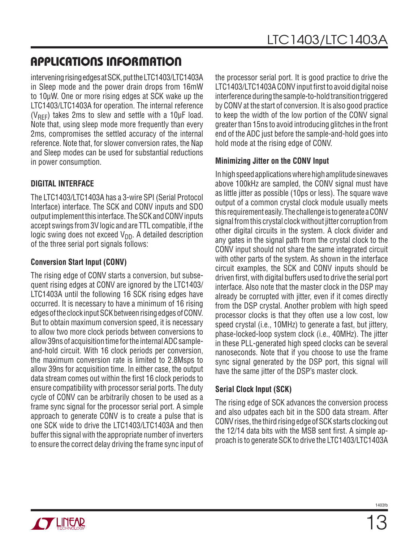intervening rising edges at SCK, put the LTC1403/LTC1403A in Sleep mode and the power drain drops from 16mW to 10μW. One or more rising edges at SCK wake up the LTC1403/LTC1403A for operation. The internal reference ( $V_{\text{REF}}$ ) takes 2ms to slew and settle with a 10 $\mu$ F load. Note that, using sleep mode more frequently than every 2ms, compromises the settled accuracy of the internal reference. Note that, for slower conversion rates, the Nap and Sleep modes can be used for substantial reductions in power consumption.

### **DIGITAL INTERFACE**

The LTC1403/LTC1403A has a 3-wire SPI (Serial Protocol Interface) interface. The SCK and CONV inputs and SDO output implement this interface. The SCK and CONV inputs accept swings from 3V logic and are TTL compatible, if the logic swing does not exceed  $V_{DD}$ . A detailed description of the three serial port signals follows:

### **Conversion Start Input (CONV)**

The rising edge of CONV starts a conversion, but subsequent rising edges at CONV are ignored by the LTC1403/ LTC1403A until the following 16 SCK rising edges have occurred. It is necessary to have a minimum of 16 rising edges of the clock input SCK between rising edges of CONV. But to obtain maximum conversion speed, it is necessary to allow two more clock periods between conversions to allow 39ns of acquisition time for the internal ADC sampleand-hold circuit. With 16 clock periods per conversion, the maximum conversion rate is limited to 2.8Msps to allow 39ns for acquisition time. In either case, the output data stream comes out within the first 16 clock periods to ensure compatibility with processor serial ports. The duty cycle of CONV can be arbitrarily chosen to be used as a frame sync signal for the processor serial port. A simple approach to generate CONV is to create a pulse that is one SCK wide to drive the LTC1403/LTC1403A and then buffer this signal with the appropriate number of inverters to ensure the correct delay driving the frame sync input of the processor serial port. It is good practice to drive the LTC1403/LTC1403A CONV input first to avoid digital noise interference during the sample-to-hold transition triggered by CONV at the start of conversion. It is also good practice to keep the width of the low portion of the CONV signal greater than 15ns to avoid introducing glitches in the front end of the ADC just before the sample-and-hold goes into hold mode at the rising edge of CONV.

### **Minimizing Jitter on the CONV Input**

In high speed applications where high amplitude sinewaves above 100kHz are sampled, the CONV signal must have as little jitter as possible (10ps or less). The square wave output of a common crystal clock module usually meets this requirement easily. The challenge is to generate a CONV signal from this crystal clock without jitter corruption from other digital circuits in the system. A clock divider and any gates in the signal path from the crystal clock to the CONV input should not share the same integrated circuit with other parts of the system. As shown in the interface circuit examples, the SCK and CONV inputs should be driven first, with digital buffers used to drive the serial port interface. Also note that the master clock in the DSP may already be corrupted with jitter, even if it comes directly from the DSP crystal. Another problem with high speed processor clocks is that they often use a low cost, low speed crystal (i.e., 10MHz) to generate a fast, but jittery, phase-locked-loop system clock (i.e., 40MHz). The jitter in these PLL-generated high speed clocks can be several nanoseconds. Note that if you choose to use the frame sync signal generated by the DSP port, this signal will have the same jitter of the DSP's master clock.

### **Serial Clock Input (SCK)**

The rising edge of SCK advances the conversion process and also udpates each bit in the SDO data stream. After CONV rises, the third rising edge of SCK starts clocking out the 12/14 data bits with the MSB sent first. A simple approach is to generate SCK to drive the LTC1403/LTC1403A

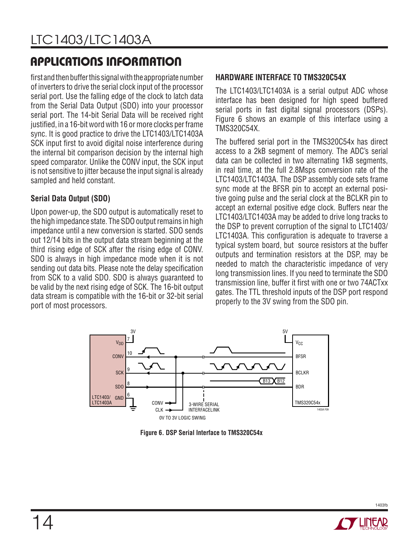first and then buffer this signal with the appropriate number of inverters to drive the serial clock input of the processor serial port. Use the falling edge of the clock to latch data from the Serial Data Output (SDO) into your processor serial port. The 14-bit Serial Data will be received right justified, in a 16-bit word with 16 or more clocks per frame sync. It is good practice to drive the LTC1403/LTC1403A SCK input first to avoid digital noise interference during the internal bit comparison decision by the internal high speed comparator. Unlike the CONV input, the SCK input is not sensitive to jitter because the input signal is already sampled and held constant.

### **Serial Data Output (SDO)**

Upon power-up, the SDO output is automatically reset to the high impedance state. The SDO output remains in high impedance until a new conversion is started. SDO sends out 12/14 bits in the output data stream beginning at the third rising edge of SCK after the rising edge of CONV. SDO is always in high impedance mode when it is not sending out data bits. Please note the delay specification from SCK to a valid SDO. SDO is always guaranteed to be valid by the next rising edge of SCK. The 16-bit output data stream is compatible with the 16-bit or 32-bit serial port of most processors.

### **HARDWARE INTERFACE TO TMS320C54X**

The LTC1403/LTC1403A is a serial output ADC whose interface has been designed for high speed buffered serial ports in fast digital signal processors (DSPs). Figure 6 shows an example of this interface using a TMS320C54X.

The buffered serial port in the TMS320C54x has direct access to a 2kB segment of memory. The ADC's serial data can be collected in two alternating 1kB segments, in real time, at the full 2.8Msps conversion rate of the LTC1403/LTC1403A. The DSP assembly code sets frame sync mode at the BFSR pin to accept an external positive going pulse and the serial clock at the BCLKR pin to accept an external positive edge clock. Buffers near the LTC1403/LTC1403A may be added to drive long tracks to the DSP to prevent corruption of the signal to LTC1403/ LTC1403A. This configuration is adequate to traverse a typical system board, but source resistors at the buffer outputs and termination resistors at the DSP, may be needed to match the characteristic impedance of very long transmission lines. If you need to terminate the SDO transmission line, buffer it first with one or two 74ACTxx gates. The TTL threshold inputs of the DSP port respond properly to the 3V swing from the SDO pin.



**Figure 6. DSP Serial Interface to TMS320C54x**

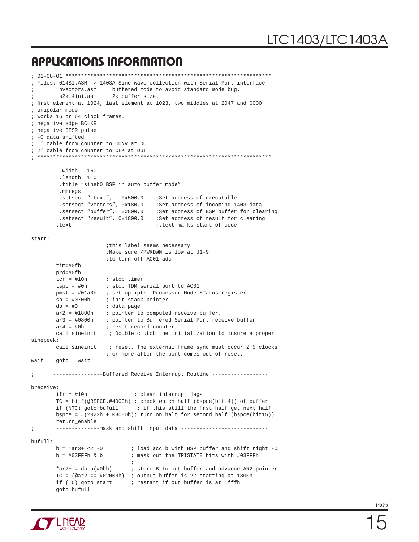```
; 01-08-01 ******************************************************************
; Files: 014SI.ASM -> 1403A Sine wave collection with Serial Port interface
        bvectors.asm buffered mode to avoid standard mode bug.
; s2k14ini.asm 2k buffer size.
; first element at 1024, last element at 1023, two middles at 2047 and 0000
; unipolar mode
; Works 16 or 64 clock frames.
; negative edge BCLKR
; negative BFSR pulse
; -0 data shifted
; 1' cable from counter to CONV at DUT
; 2' cable from counter to CLK at DUT
; ***************************************************************************
         .width 160
         .length 110
         .title "sineb0 BSP in auto buffer mode"
          .mmregs
        setsect ".text", 0x500,0 ;Set address of executable.<br>setsect "vectors", 0x180,0 ;Set address of incoming 1.
                                     .Set address of incoming 1403 data
         .setsect "buffer", 0x800,0 ;Set address of BSP buffer for clearing
         .setsect "result", 0x1800,0 ;Set address of result for clearing
         .text ;.text marks start of code
start:
                        ;this label seems necessary
                        ;Make sure /PWRDWN is low at J1-9 
                        ;to turn off AC01 adc
        tim=#0fh
        prd=#0fh
       tcr = #10h ; stop timer
       tspc = #0h ; stop TDM serial port to AC01
        pmst = #01a0h ; set up iptr. Processor Mode STatus register
        sp = #0700h ; init stack pointer.
       dp = #0 ; data page
       ar2 = #1800h ; pointer to computed receive buffer.
       ar3 = #0800h ; pointer to Buffered Serial Port receive buffer
       ar4 = #0h ; reset record counter
        call sineinit ; Double clutch the initialization to insure a proper
sinepeek:
       call sineinit ; reset. The external frame sync must occur 2.5 clocks
                        ; or more after the port comes out of reset.
wait goto wait
; ----------------Buffered Receive Interrupt Routine ------------------
breceive:
       if r = #10h ; clear interrupt flags
        TC = bitf(@BSPCE,#4000h) ; check which half (bspce(bit14)) of buffer
       if (NTC) goto bufull \qquad ; if this still the first half get next half
       bspce = \#(2023h + 08000h); turn on halt for second half (bspce(bit15))
        return_enable
; --------------mask and shift input data ----------------------------
bufull:
       b = \arctan 3 + \arccos 10 ; load acc b with BSP buffer and shift right -0
       b = #03FFFh & b ; mask out the TRISTATE bits with #03FFFh
\mathcal{L}^{\text{max}} *ar2+ = data(#0bh) ; store B to out buffer and advance AR2 pointer
       TC = (Qar2 == #02000h) ; output buffer is 2k starting at 1800h
       if (TC) goto start : restart if out buffer is at 1fffh
        goto bufull
```
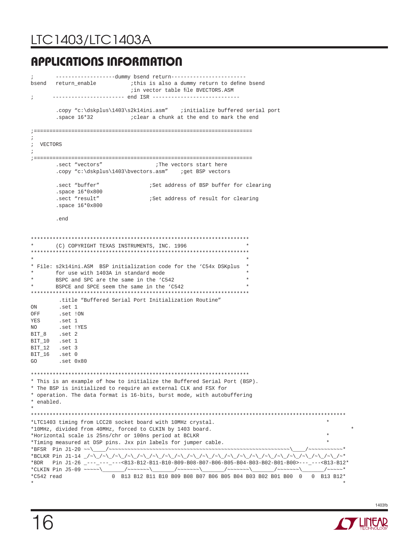# LTC1403/LTC1403A

# **APPLICATIONS INFORMATION**

```
; -------------------dummy bsend return------------------------
bsend return_enable \qquad \qquad ; this is also a dummy return to define bsend
                              ;in vector table file BVECTORS.ASM
      ; ----------------------- end ISR ----------------------------
        .copy "c:\dskplus\1403\s2k14ini.asm" ;initialize buffered serial port
        .space 16*32 ;clear a chunk at the end to mark the end
;======================================================================
;
; VECTORS
;
;======================================================================
       .sect "vectors" \qquad \qquad ;The vectors start here
       .copy "c:\dskplus\1403\bvectors.asm" ;get BSP vectors
       .sect "buffer" ;Set address of BSP buffer for clearing
        .space 16*0x800
       .sect "result" ;Set address of result for clearing
        .space 16*0x800
        .end
**********************************************************************
      (C) COPYRIGHT TEXAS INSTRUMENTS, INC. 1996
**********************************************************************
\star \star* File: s2k14ini.ASM BSP initialization code for the 'C54x DSKplus *
      for use with 1403A in standard mode
       BSPC and SPC are the same in the 'C542
      BSPCE and SPCE seem the same in the 'C542
**********************************************************************
         .title "Buffered Serial Port Initialization Routine"
ON .set 1
OFF .set !ON
YES .set 1
NO .set !YES
BIT_8 .set 2
BIT_10 .set 1
BIT_12 .set 3
BIT_16 .set 0
GO .set 0x80
**********************************************************************
* This is an example of how to initialize the Buffered Serial Port (BSP).
* The BSP is initialized to require an external CLK and FSX for
* operation. The data format is 16-bits, burst mode, with autobuffering
* enabled.
* 
*****************************************************************************************************
*LTC1403 timing from LCC28 socket board with 10MHz crystal. *
*10MHz, divided from 40MHz, forced to CLKIN by 1403 board. *
*Horizontal scale is 25ns/chr or 100ns period at BCLKR *
*Timing measured at DSP pins. Jxx pin labels for jumper cable. *
*BFSR Pin J1-20 ~~\____/~~~~~~~~~~~~~~~~~~~~~~~~~~~~~~~~~~~~~~~~~~~~~~~~~~~~~~~~~~\____/~~~~~~~~~~~*
*BCLKR Pin J1-14 _/~\_/~\_/~\_/~\_/~\_/~\_/~\_/~\_/~\_/~\_/~\_/~\_/~\_/~\_/~\_/~\_/~\_/~\_/~\_/~\_/~*
*BDR Pin J1-26 _---_---_---<B13-B12-B11-B10-B09-B08-B07-B06-B05-B04-B03-B02-B01-B00>---_---<B13-B12*<br>*CLKIN Pin J5-09 ~~~~~\______/~~~~~~\______/~~~~~~\______/~~~~~~\______/~~~~~~\______/~~~~~*
*CLKIN Pin J5-09 ~~~~~\______/~~~~~~~\_____/~~~~~~~\_____/~~~~~~~\_____/~~~~~~~\_____/~~~~~*
*C542 read 0 B13 B12 B11 B10 B09 B08 B07 B06 B05 B04 B03 B02 B01 B00 0 0 B13 B12*
* *
```
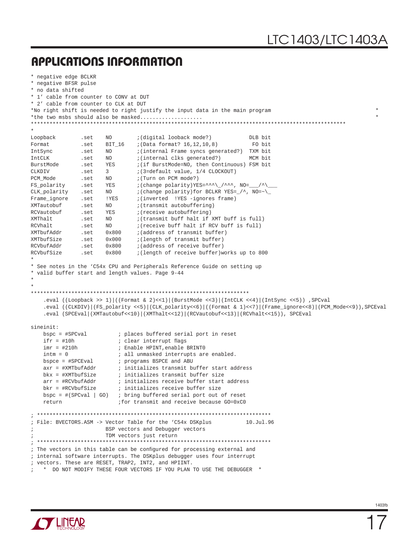```
* negative edge BCLKR
* negative BFSR pulse
* no data shifted
* 1' cable from counter to CONV at DUT
* 2' cable from counter to CLK at DUT
*No right shift is needed to right justify the input data in the main program *
*the two msbs should also be masked...................
*****************************************************************************************************
*
Loopback .set NO ;(digital looback mode?) DLB bit
Format .set BIT_16 ;(Data format? 16,12,10,8) FO bit
IntSync .set NO ;(internal Frame syncs generated?) TXM bit
IntCLK .set NO ; (internal clks generated?) MCM bit
BurstMode .set YES ;(if BurstMode=NO, then Continuous) FSM bit
CLKDIV .set 3 ;(3=default value, 1/4 CLOCKOUT)
PCM_Mode .set NO ;(Turn on PCM mode?)<br>
FS_polarity .set YES ;(change polarity)YES
{\tt FS\_polarity} \qquad \begin{tabular}{l} . set \\ set \\ set \\ No \\ \end{tabular} \begin{tabular}{l} \end{tabular} \begin{tabular}{l} \end{tabular} \begin{tabular}{l} \end{tabular} \begin{tabular}{l} \end{tabular} \begin{tabular}{l} \end{tabular} \begin{tabular}{l} \end{tabular} \end{tabular} \begin{tabular}{l} \end{tabular} \begin{tabular}{l} \multicolumn{1}{l} \end{tabular} \end{tabular} \begin{tabular}{l} \multicolumn{1}{l} \end{tabular} \begin{tabular}{l} \multicolumn{1}{l} \end{tabular} \end{tabular} \beginCLK_polarity .set NO i (change polarity) for BCLKR YES=_\prime^, NO=~\_
Frame_ignore .set !YES ;(inverted !YES -ignores frame)<br>XMTautobuf .set NO ;(transmit autobuffering)
XMTautobuf .set NO ;(transmit autobuffering)<br>RCVautobuf .set YES ;(receive autobuffering)
RCVautobuf .set YES ;(receive autobuffering)
XMThalt .set NO ; (transmit buff halt if XMT buff is full)
RCVhalt .set NO ; (receive buff halt if RCV buff is full)
XMTbufAddr .set 0x800 ;(address of transmit buffer)
                                    \mathfrak{p} (length of transmit buffer)
RCVbufAddr .set 0x800 ; (address of receive buffer)
RCVbufSize .set 0x800 ;(length of receive buffer)works up to 800
*
* See notes in the 'C54x CPU and Peripherals Reference Guide on setting up
* valid buffer start and length values. Page 9-44
*
*
**********************************************************************
     .eval ((Loopback >> 1)|((Format & 2)<<1)|(BurstMode <<3)|(IntCLK <<4)|(IntSync <<5)) ,SPCval
     .eval ((CLKDIV)|(FS_polarity <<5)|(CLK_polarity<<6)|((Format & 1)<<7)|(Frame_ignore<<8)|(PCM_Mode<<9)),SPCEval
     .eval (SPCEval|(XMTautobuf<<10)|(XMThalt<<12)|(RCVautobuf<<13)|(RCVhalt<<15)), SPCEval
sineinit:
     bspc = #SPCval ; places buffered serial port in reset
    ifr = #10h ; clear interrupt flags
    imr = #210h                  ; Enable HPINT, enable BRINT0<br>intm = 0                     ; all unmasked interrupts are
                              ; all unmasked interrupts are enabled.
    bspce = #SPCEval ; programs BSPCE and ABU
    axr = #XMTbufAddr \qquad ; initializes transmit buffer start address
    bkx = #XMTbufSize \qquad i initializes transmit buffer size
    arr = #RCVbufAddr \qquad ; initializes receive buffer start address
    bkr = #RCVbufSize ; initializes receive buffer size
     bspc = #(SPCval | GO) ; bring buffered serial port out of reset
     return ;for transmit and receive because GO=0xC0
; ***************************************************************************
; File: BVECTORS.ASM -> Vector Table for the 'C54x DSKplus 10.Jul.96
                          BSP vectors and Debugger vectors
                          TDM vectors just return
; ***************************************************************************
; The vectors in this table can be configured for processing external and
; internal software interrupts. The DSKplus debugger uses four interrupt
; vectors. These are RESET, TRAP2, INT2, and HPIINT.
   ; * DO NOT MODIFY THESE FOUR VECTORS IF YOU PLAN TO USE THE DEBUGGER *
```
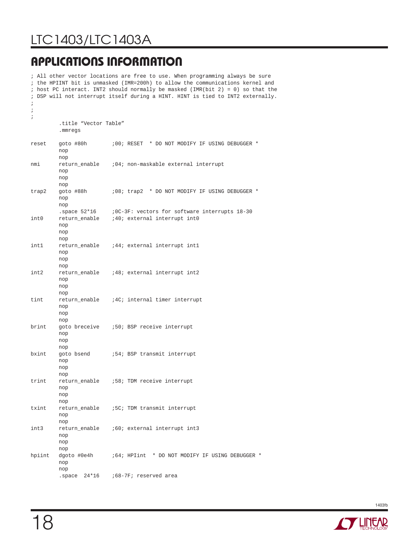# LTC1403/LTC1403A

# **APPLICATIONS INFORMATION**

; All other vector locations are free to use. When programming always be sure ; the HPIINT bit is unmasked (IMR=200h) to allow the communications kernel and ; host PC interact. INT2 should normally be masked (IMR(bit 2) = 0) so that the ; DSP will not interrupt itself during a HINT. HINT is tied to INT2 externally. ; ; ; .title "Vector Table" .mmregs reset goto #80h :00; RESET \* DO NOT MODIFY IF USING DEBUGGER \* nop nop nmi return\_enable ;04; non-maskable external interrupt nop nop nop trap2 goto #88h ;08; trap2 \* DO NOT MODIFY IF USING DEBUGGER \* nop nop<br>.space 52\*16 : OC-3F: vectors for software interrupts 18-30 int0 return\_enable ;40; external interrupt int0 nop nop nop int1 return\_enable ;44; external interrupt int1 nop nop nop int2 return enable :48; external interrupt int2 nop nop nop tint return enable :4C; internal timer interrupt nop nop nop brint goto breceive ;50; BSP receive interrupt nop nop nop bxint goto bsend :54; BSP transmit interrupt nop nop nop trint return\_enable ;58; TDM receive interrupt nop nop nop txint return enable :5C; TDM transmit interrupt nop nop<br>int3 ret return\_enable :60; external interrupt int3 nop nop nop hpiint dgoto #0e4h :64; HPIint \* DO NOT MODIFY IF USING DEBUGGER \* nop nop .space 24\*16 ;68-7F; reserved area

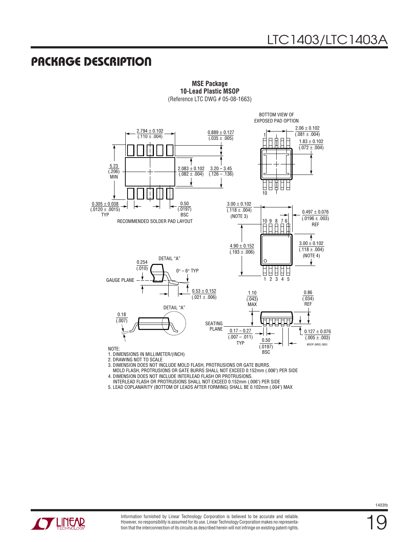### **PACKAGE DESCRIPTION**



**MSE Package 10-Lead Plastic MSOP**

(Reference LTC DWG # 05-08-1663)

2. DRAWING NOT TO SCALE

3. DIMENSION DOES NOT INCLUDE MOLD FLASH, PROTRUSIONS OR GATE BURRS.

 MOLD FLASH, PROTRUSIONS OR GATE BURRS SHALL NOT EXCEED 0.152mm (.006") PER SIDE 4. DIMENSION DOES NOT INCLUDE INTERLEAD FLASH OR PROTRUSIONS.

INTERLEAD FLASH OR PROTRUSIONS SHALL NOT EXCEED 0.152mm (.006") PER SIDE

5. LEAD COPLANARITY (BOTTOM OF LEADS AFTER FORMING) SHALL BE 0.102mm (.004") MAX